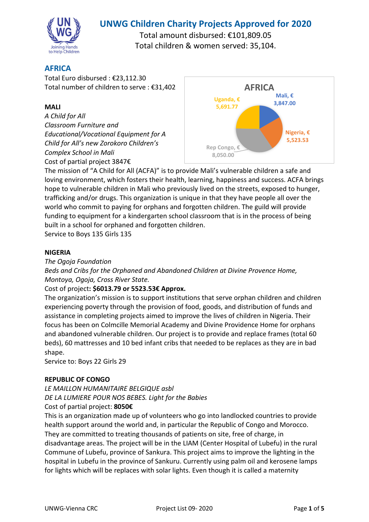

# **UNWG Children Charity Projects Approved for 2020**

Total amount disbursed: €101,809.05 Total children & women served: 35,104.

# **AFRICA**

Total Euro disbursed : €23,112.30 Total number of children to serve : €31,402

### **MALI**

*A Child for All Classroom Furniture and Educational/Vocational Equipment for A Child for All's new Zorokoro Children's Complex School in Mali*  Cost of partial project 3847€



The mission of "A Child for All (ACFA)" is to provide Mali's vulnerable children a safe and loving environment, which fosters their health, learning, happiness and success. ACFA brings hope to vulnerable children in Mali who previously lived on the streets, exposed to hunger, trafficking and/or drugs. This organization is unique in that they have people all over the world who commit to paying for orphans and forgotten children. The guild will provide funding to equipment for a kindergarten school classroom that is in the process of being built in a school for orphaned and forgotten children.

Service to Boys 135 Girls 135

### **NIGERIA**

*The Ogoja Foundation* 

*Beds and Cribs for the Orphaned and Abandoned Children at Divine Provence Home, Montoya, Ogoja, Cross River State.* 

### Cost of project**: \$6013.79 or 5523.53€ Approx.**

The organization's mission is to support institutions that serve orphan children and children experiencing poverty through the provision of food, goods, and distribution of funds and assistance in completing projects aimed to improve the lives of children in Nigeria. Their focus has been on Colmcille Memorial Academy and Divine Providence Home for orphans and abandoned vulnerable children. Our project is to provide and replace frames (total 60 beds), 60 mattresses and 10 bed infant cribs that needed to be replaces as they are in bad shape.

Service to: Boys 22 Girls 29

### **REPUBLIC OF CONGO**

*LE MAILLON HUMANITAIRE BELGIQUE asbl DE LA LUMIERE POUR NOS BEBES. Light for the Babies*  Cost of partial project: **8050€**

This is an organization made up of volunteers who go into landlocked countries to provide health support around the world and, in particular the Republic of Congo and Morocco. They are committed to treating thousands of patients on site, free of charge, in disadvantage areas. The project will be in the LIAM (Center Hospital of Lubefu) in the rural Commune of Lubefu, province of Sankura. This project aims to improve the lighting in the hospital in Lubefu in the province of Sankuru. Currently using palm oil and kerosene lamps for lights which will be replaces with solar lights. Even though it is called a maternity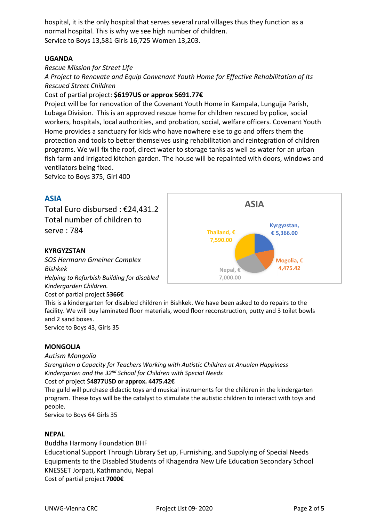hospital, it is the only hospital that serves several rural villages thus they function as a normal hospital. This is why we see high number of children. Service to Boys 13,581 Girls 16,725 Women 13,203.

### **UGANDA**

### *Rescue Mission for Street Life*

*A Project to Renovate and Equip Convenant Youth Home for Effective Rehabilitation of Its Rescued Street Children* 

### Cost of partial project: **\$6197US or approx 5691.77€**

Project will be for renovation of the Covenant Youth Home in Kampala, Lungujja Parish, Lubaga Division. This is an approved rescue home for children rescued by police, social workers, hospitals, local authorities, and probation, social, welfare officers. Covenant Youth Home provides a sanctuary for kids who have nowhere else to go and offers them the protection and tools to better themselves using rehabilitation and reintegration of children programs. We will fix the roof, direct water to storage tanks as well as water for an urban fish farm and irrigated kitchen garden. The house will be repainted with doors, windows and ventilators being fixed.

Sefvice to Boys 375, Girl 400

# **ASIA**

Total Euro disbursed : €24,431.2 Total number of children to serve : 784

### **KYRGYZSTAN**

*SOS Hermann Gmeiner Complex Bishkek Helping to Refurbish Building for disabled Kindergarden Children.*  Cost of partial project **5366€**



This is a kindergarten for disabled children in Bishkek. We have been asked to do repairs to the facility. We will buy laminated floor materials, wood floor reconstruction, putty and 3 toilet bowls and 2 sand boxes.

Service to Boys 43, Girls 35

### **MONGOLIA**

#### *Autism Mongolia*

*Strengthen a Capacity for Teachers Working with Autistic Children at Anuulen Happiness Kindergarten and the 32nd School for Children with Special Needs* 

#### Cost of project \$**4877USD or approx. 4475.42€**

The guild will purchase didactic toys and musical instruments for the children in the kindergarten program. These toys will be the catalyst to stimulate the autistic children to interact with toys and people.

Service to Boys 64 Girls 35

### **NEPAL**

Buddha Harmony Foundation BHF Educational Support Through Library Set up, Furnishing, and Supplying of Special Needs Equipments to the Disabled Students of Khagendra New Life Education Secondary School KNESSET Jorpati, Kathmandu, Nepal Cost of partial project **7000€**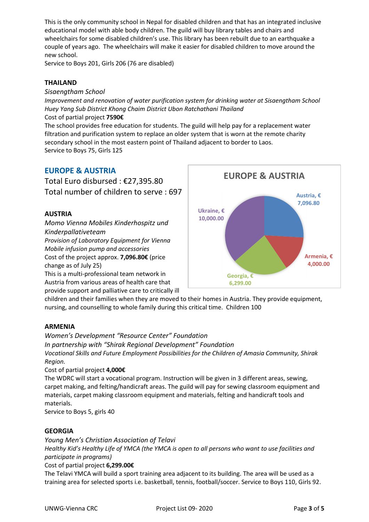This is the only community school in Nepal for disabled children and that has an integrated inclusive educational model with able body children. The guild will buy library tables and chairs and wheelchairs for some disabled children's use. This library has been rebuilt due to an earthquake a couple of years ago. The wheelchairs will make it easier for disabled children to move around the new school.

Service to Boys 201, Girls 206 (76 are disabled)

### **THAILAND**

*Sisaengtham School* 

*Improvement and renovation of water purification system for drinking water at Sisaengtham School Huey Yang Sub District Khong Chaim District Ubon Ratchathani Thailand* 

#### Cost of partial project **7590€**

The school provides free education for students. The guild will help pay for a replacement water filtration and purification system to replace an older system that is worn at the remote charity secondary school in the most eastern point of Thailand adjacent to border to Laos. Service to Boys 75, Girls 125

# **EUROPE & AUSTRIA**

Total Euro disbursed : €27,395.80 Total number of children to serve : 697

### **AUSTRIA**

*Momo Vienna Mobiles Kinderhospitz und Kinderpallativeteam Provision of Laboratory Equipment for Vienna Mobile infusion pump and accessories*  Cost of the project approx. **7,096.80€** (price

change as of July 25) This is a multi-professional team network in Austria from various areas of health care that

provide support and palliative care to critically ill



children and their families when they are moved to their homes in Austria. They provide equipment, nursing, and counselling to whole family during this critical time. Children 100

### **ARMENIA**

*Women's Development "Resource Center" Foundation In partnership with "Shirak Regional Development" Foundation Vocational Skills and Future Employment Possibilities for the Children of Amasia Community, Shirak Region.* 

### Cost of partial project **4,000€**

The WDRC will start a vocational program. Instruction will be given in 3 different areas, sewing, carpet making, and felting/handicraft areas. The guild will pay for sewing classroom equipment and materials, carpet making classroom equipment and materials, felting and handicraft tools and materials.

Service to Boys 5, girls 40

### **GEORGIA**

*Young Men's Christian Association of Telavi Healthy Kid's Healthy Life of YMCA (the YMCA is open to all persons who want to use facilities and participate in programs)* 

#### Cost of partial project **6,299.00€**

The Telavi YMCA will build a sport training area adjacent to its building. The area will be used as a training area for selected sports i.e. basketball, tennis, football/soccer. Service to Boys 110, Girls 92.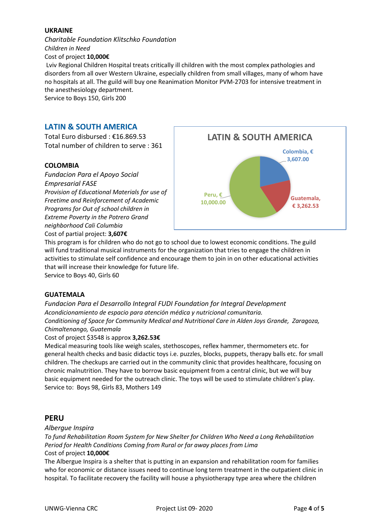### **UKRAINE**

*Charitable Foundation Klitschko Foundation Children in Need*  Cost of project **10,000€**

 Lviv Regional Children Hospital treats critically ill children with the most complex pathologies and disorders from all over Western Ukraine, especially children from small villages, many of whom have no hospitals at all. The guild will buy one Reanimation Monitor PVM-2703 for intensive treatment in the anesthesiology department.

Service to Boys 150, Girls 200

# **LATIN & SOUTH AMERICA**

Total Euro disbursed : €16.869.53 Total number of children to serve : 361

#### **COLOMBIA**

*Fundacion Para el Apoyo Social Empresarial FASE Provision of Educational Materials for use of Freetime and Reinforcement of Academic Programs for Out of school children in Extreme Poverty in the Potrero Grand neighborhood Cali Columbia*  Cost of partial project: **3,607€**



This program is for children who do not go to school due to lowest economic conditions. The guild will fund traditional musical instruments for the organization that tries to engage the children in activities to stimulate self confidence and encourage them to join in on other educational activities that will increase their knowledge for future life.

Service to Boys 40, Girls 60

### **GUATEMALA**

*Fundacion Para el Desarrollo Integral FUDI Foundation for Integral Development Acondicionamiento de espacio para atención médica y nutricional comunitaria. Conditioning of Space for Community Medical and Nutritional Care in Alden Joys Grande, Zaragoza, Chimaltenango, Guatemala* 

Cost of project \$3548 is approx **3,262.53€**

Medical measuring tools like weigh scales, stethoscopes, reflex hammer, thermometers etc. for general health checks and basic didactic toys i.e. puzzles, blocks, puppets, therapy balls etc. for small children. The checkups are carried out in the community clinic that provides healthcare, focusing on chronic malnutrition. They have to borrow basic equipment from a central clinic, but we will buy basic equipment needed for the outreach clinic. The toys will be used to stimulate children's play. Service to: Boys 98, Girls 83, Mothers 149

### **PERU**

#### *Albergue Inspira*

*To fund Rehabilitation Room System for New Shelter for Children Who Need a Long Rehabilitation Period for Health Conditions Coming from Rural or far away places from Lima*  Cost of project **10,000€**

The Albergue Inspira is a shelter that is putting in an expansion and rehabilitation room for families who for economic or distance issues need to continue long term treatment in the outpatient clinic in hospital. To facilitate recovery the facility will house a physiotherapy type area where the children